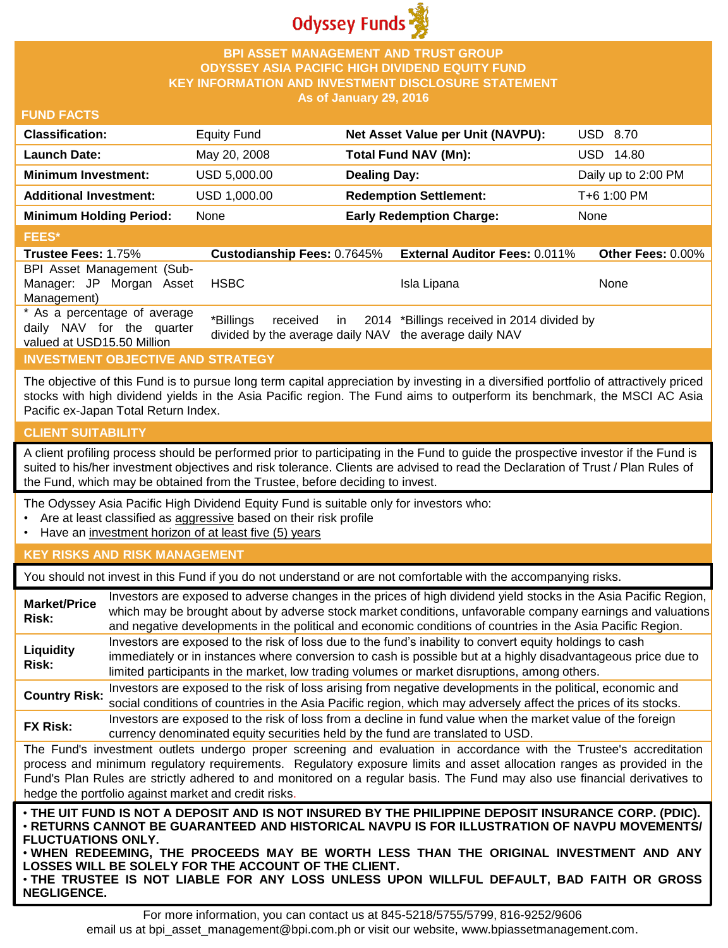

## **BPI ASSET MANAGEMENT AND TRUST GROUP ODYSSEY ASIA PACIFIC HIGH DIVIDEND EQUITY FUND KEY INFORMATION AND INVESTMENT DISCLOSURE STATEMENT As of January 29, 2016**

## **FUND FACTS**

| <b>Classification:</b>         | <b>Equity Fund</b> | Net Asset Value per Unit (NAVPU): | USD 8.70            |
|--------------------------------|--------------------|-----------------------------------|---------------------|
| Launch Date:                   | May 20, 2008       | Total Fund NAV (Mn):              | USD 14.80           |
| <b>Minimum Investment:</b>     | USD 5,000.00       | <b>Dealing Day:</b>               | Daily up to 2:00 PM |
| <b>Additional Investment:</b>  | USD 1,000.00       | <b>Redemption Settlement:</b>     | T+6 1:00 PM         |
| <b>Minimum Holding Period:</b> | None               | <b>Early Redemption Charge:</b>   | None                |
| <b>FEES*</b>                   |                    |                                   |                     |

#### **Trustee Fees:** 1.75% **Custodianship Fees:** 0.7645% **External Auditor Fees:** 0.011% **Other Fees:** 0.00% BPI Asset Management (Sub-Manager: JP Morgan Asset Management) HSBC Isla Lipana None \* As a percentage of average daily NAV for the quarter valued at USD15.50 Million \*Billings received in divided by the average daily NAV the average daily NAV 2014 \*Billings received in 2014 divided by

# **INVESTMENT OBJECTIVE AND STRATEGY**

The objective of this Fund is to pursue long term capital appreciation by investing in a diversified portfolio of attractively priced stocks with high dividend yields in the Asia Pacific region. The Fund aims to outperform its benchmark, the MSCI AC Asia Pacific ex-Japan Total Return Index.

#### **CLIENT SUITABILITY**

A client profiling process should be performed prior to participating in the Fund to guide the prospective investor if the Fund is suited to his/her investment objectives and risk tolerance. Clients are advised to read the Declaration of Trust / Plan Rules of the Fund, which may be obtained from the Trustee, before deciding to invest.

The Odyssey Asia Pacific High Dividend Equity Fund is suitable only for investors who:

- Are at least classified as aggressive based on their risk profile
- Have an investment horizon of at least five (5) years

### **KEY RISKS AND RISK MANAGEMENT**

You should not invest in this Fund if you do not understand or are not comfortable with the accompanying risks.

| <b>Market/Price</b><br><b>Risk:</b>                                                                                                                                                                                                                                                                                                                                                                                                  | Investors are exposed to adverse changes in the prices of high dividend yield stocks in the Asia Pacific Region,<br>which may be brought about by adverse stock market conditions, unfavorable company earnings and valuations<br>and negative developments in the political and economic conditions of countries in the Asia Pacific Region. |  |
|--------------------------------------------------------------------------------------------------------------------------------------------------------------------------------------------------------------------------------------------------------------------------------------------------------------------------------------------------------------------------------------------------------------------------------------|-----------------------------------------------------------------------------------------------------------------------------------------------------------------------------------------------------------------------------------------------------------------------------------------------------------------------------------------------|--|
| Liquidity<br>Risk:                                                                                                                                                                                                                                                                                                                                                                                                                   | Investors are exposed to the risk of loss due to the fund's inability to convert equity holdings to cash<br>immediately or in instances where conversion to cash is possible but at a highly disadvantageous price due to<br>limited participants in the market, low trading volumes or market disruptions, among others.                     |  |
| <b>Country Risk:</b>                                                                                                                                                                                                                                                                                                                                                                                                                 | Investors are exposed to the risk of loss arising from negative developments in the political, economic and<br>social conditions of countries in the Asia Pacific region, which may adversely affect the prices of its stocks.                                                                                                                |  |
| <b>FX Risk:</b>                                                                                                                                                                                                                                                                                                                                                                                                                      | Investors are exposed to the risk of loss from a decline in fund value when the market value of the foreign<br>currency denominated equity securities held by the fund are translated to USD.                                                                                                                                                 |  |
| The Fund's investment outlets undergo proper screening and evaluation in accordance with the Trustee's accreditation<br>process and minimum regulatory requirements. Regulatory exposure limits and asset allocation ranges as provided in the<br>Fund's Plan Rules are strictly adhered to and monitored on a regular basis. The Fund may also use financial derivatives to<br>hedge the portfolio against market and credit risks. |                                                                                                                                                                                                                                                                                                                                               |  |
| . THE UIT FUND IS NOT A DEPOSIT AND IS NOT INSURED BY THE PHILIPPINE DEPOSIT INSURANCE CORP. (PDIC).<br><b>• RETURNS CANNOT BE GUARANTEED AND HISTORICAL NAVPU IS FOR ILLUSTRATION OF NAVPU MOVEMENTS</b><br><b>FLUCTUATIONS ONLY.</b><br>. WHEN REDEEMING, THE PROCEEDS MAY BE WORTH LESS THAN THE ORIGINAL INVESTMENT AND ANY<br>OSSES WILL BE SOLELY FOR THE ACCOUNT OF THE CLIENT                                                |                                                                                                                                                                                                                                                                                                                                               |  |

**LOSSES WILL BE SOLELY FOR THE ACCOUNT OF THE CLIENT.** • **THE TRUSTEE IS NOT LIABLE FOR ANY LOSS UNLESS UPON WILLFUL DEFAULT, BAD FAITH OR GROSS NEGLIGENCE.**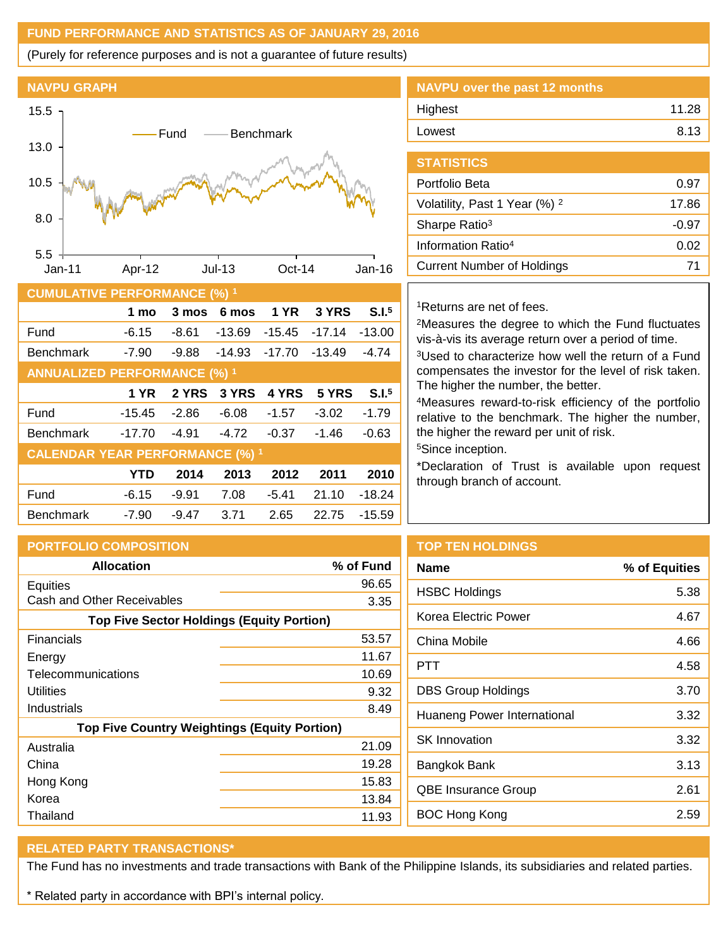# **FUND PERFORMANCE AND STATISTICS AS OF JANUARY 29, 2016**

(Purely for reference purposes and is not a guarantee of future results)



| <b>CUMULATIVE PERFORMANCE (%) 1</b>    |          |         |          |             |          |                   |
|----------------------------------------|----------|---------|----------|-------------|----------|-------------------|
|                                        | 1 mo     | 3 mos   | 6 mos    | <b>1 YR</b> | 3 YRS    | S.I. <sup>5</sup> |
| Fund                                   | $-6.15$  | $-8.61$ | $-13.69$ | $-15.45$    | $-17.14$ | $-13.00$          |
| <b>Benchmark</b>                       | $-7.90$  | $-9.88$ | $-14.93$ | $-17.70$    | $-13.49$ | $-4.74$           |
| <b>ANNUALIZED PERFORMANCE (%) 1</b>    |          |         |          |             |          |                   |
|                                        | 1 YR     | 2 YRS   | 3 YRS    | 4 YRS       | 5 YRS    | S.I. <sup>5</sup> |
| Fund                                   | $-15.45$ | $-2.86$ | $-6.08$  | $-1.57$     | $-3.02$  | $-1.79$           |
| <b>Benchmark</b>                       | $-17.70$ | $-4.91$ | $-4.72$  | $-0.37$     | $-1.46$  | $-0.63$           |
| <b>CALENDAR YEAR PERFORMANCE (%) 1</b> |          |         |          |             |          |                   |
|                                        | YTD      | 2014    | 2013     | 2012        | 2011     | 2010              |
| Fund                                   | $-6.15$  | $-9.91$ | 7.08     | $-5.41$     | 21.10    | $-18.24$          |
| <b>Benchmark</b>                       | $-7.90$  | $-9.47$ | 3.71     | 2.65        | 22.75    | $-15.59$          |

| NAVPU over the past 12 months |       |
|-------------------------------|-------|
| Highest                       | 11.28 |
| Lowest                        | 8.13  |
|                               |       |

| <b>STATISTICS</b>                        |       |
|------------------------------------------|-------|
| Portfolio Beta                           | 0.97  |
| Volatility, Past 1 Year (%) <sup>2</sup> | 17.86 |
| Sharpe Ratio <sup>3</sup>                | -0.97 |
| Information Ratio <sup>4</sup>           | 0.02  |
| <b>Current Number of Holdings</b>        | 71    |

## <sup>1</sup>Returns are net of fees.

<sup>2</sup>Measures the degree to which the Fund fluctuates vis-à-vis its average return over a period of time.

<sup>3</sup>Used to characterize how well the return of a Fund compensates the investor for the level of risk taken. The higher the number, the better.

<sup>4</sup>Measures reward-to-risk efficiency of the portfolio relative to the benchmark. The higher the number, the higher the reward per unit of risk.

<sup>5</sup>Since inception.

\*Declaration of Trust is available upon request through branch of account.

| <b>PORTFOLIO COMPOSITION</b>                        |           |  |
|-----------------------------------------------------|-----------|--|
| <b>Allocation</b>                                   | % of Fund |  |
| <b>Equities</b>                                     | 96.65     |  |
| Cash and Other Receivables                          | 3.35      |  |
| <b>Top Five Sector Holdings (Equity Portion)</b>    |           |  |
| Financials                                          | 53.57     |  |
| Energy                                              | 11.67     |  |
| Telecommunications                                  | 10.69     |  |
| Utilities                                           | 9.32      |  |
| Industrials                                         | 8.49      |  |
| <b>Top Five Country Weightings (Equity Portion)</b> |           |  |
| Australia                                           | 21.09     |  |
| China                                               | 19.28     |  |
| Hong Kong                                           | 15.83     |  |
| Korea                                               | 13.84     |  |
| Thailand                                            | 11.93     |  |

# **TOP TEN HOLDINGS**

| <b>Name</b>                 | % of Equities |
|-----------------------------|---------------|
| <b>HSBC Holdings</b>        | 5.38          |
| Korea Electric Power        | 4.67          |
| China Mobile                | 4.66          |
| PTT                         | 4.58          |
| <b>DBS Group Holdings</b>   | 3.70          |
| Huaneng Power International | 3.32          |
| <b>SK</b> Innovation        | 3.32          |
| Bangkok Bank                | 3.13          |
| QBE Insurance Group         | 2.61          |
| <b>BOC Hong Kong</b>        | 2.59          |
|                             |               |

# **RELATED PARTY TRANSACTIONS\***

The Fund has no investments and trade transactions with Bank of the Philippine Islands, its subsidiaries and related parties.

\* Related party in accordance with BPI's internal policy.